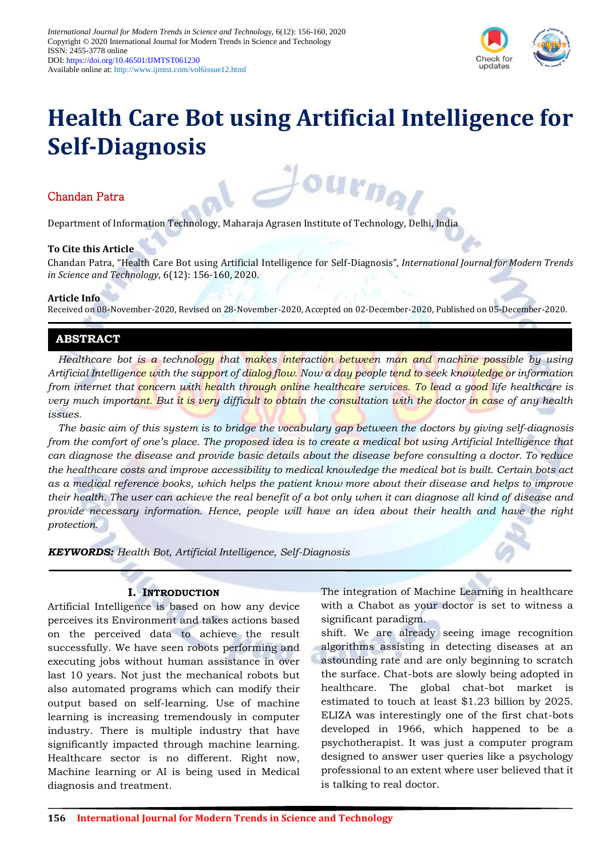

# **Health Care Bot using Artificial Intelligence for Self-Diagnosis**

ourna

# Chandan Patra

Department of Information Technology, Maharaja Agrasen Institute of Technology, Delhi, India

## **To Cite this Article**

Chandan Patra, "Health Care Bot using Artificial Intelligence for Self-Diagnosis"*, International Journal for Modern Trends in Science and Technology*, 6(12): 156-160, 2020.

#### **Article Info**

Received on 08-November-2020, Revised on 28-November-2020, Accepted on 02-December-2020, Published on 05-December-2020.

# **ABSTRACT**

*Healthcare bot is a technology that makes interaction between man and machine possible by using Artificial Intelligence with the support of dialog flow. Now a day people tend to seek knowledge or information from internet that concern with health through online healthcare services. To lead a good life healthcare is very much important. But it is very difficult to obtain the consultation with the doctor in case of any health issues.* 

*The basic aim of this system is to bridge the vocabulary gap between the doctors by giving self-diagnosis from the comfort of one's place. The proposed idea is to create a medical bot using Artificial Intelligence that can diagnose the disease and provide basic details about the disease before consulting a doctor. To reduce the healthcare costs and improve accessibility to medical knowledge the medical bot is built. Certain bots act as a medical reference books, which helps the patient know more about their disease and helps to improve their health. The user can achieve the real benefit of a bot only when it can diagnose all kind of disease and provide necessary information. Hence, people will have an idea about their health and have the right protection.*

*KEYWORDS: Health Bot, Artificial Intelligence, Self-Diagnosis*

## **I. INTRODUCTION**

Artificial Intelligence is based on how any device perceives its Environment and takes actions based on the perceived data to achieve the result successfully. We have seen robots performing and executing jobs without human assistance in over last 10 years. Not just the mechanical robots but also automated programs which can modify their output based on self-learning. Use of machine learning is increasing tremendously in computer industry. There is multiple industry that have significantly impacted through machine learning. Healthcare sector is no different. Right now, Machine learning or AI is being used in Medical diagnosis and treatment.

The integration of Machine Learning in healthcare with a Chabot as your doctor is set to witness a significant paradigm.

shift. We are already seeing image recognition algorithms assisting in detecting diseases at an astounding rate and are only beginning to scratch the surface. Chat-bots are slowly being adopted in healthcare. The global chat-bot market is estimated to touch at least \$1.23 billion by 2025. ELIZA was interestingly one of the first chat-bots developed in 1966, which happened to be a psychotherapist. It was just a computer program designed to answer user queries like a psychology professional to an extent where user believed that it is talking to real doctor.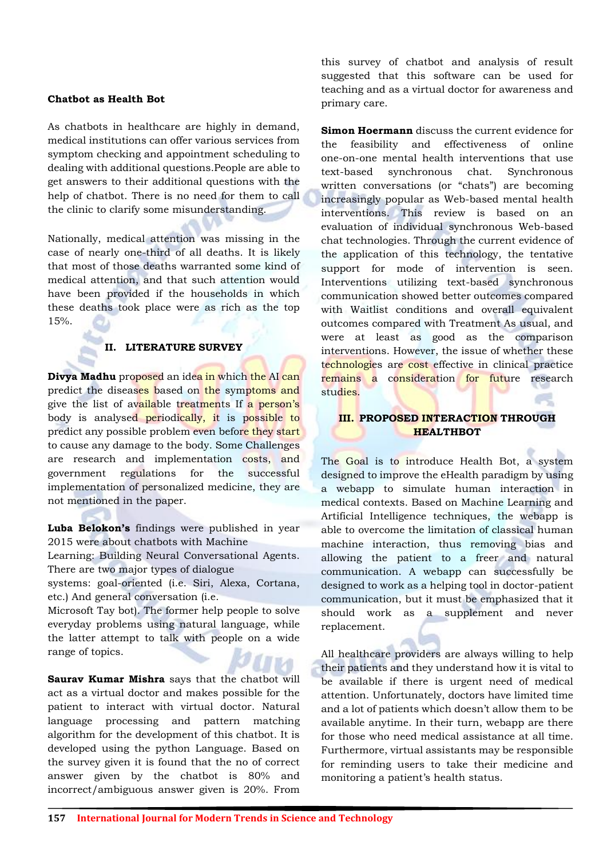## **Chatbot as Health Bot**

As chatbots in healthcare are highly in demand, medical institutions can offer various services from symptom checking and appointment scheduling to dealing with additional questions.People are able to get answers to their additional questions with the help of chatbot. There is no need for them to call the clinic to clarify some misunderstanding.

Nationally, medical attention was missing in the case of nearly one-third of all deaths. It is likely that most of those deaths warranted some kind of medical attention, and that such attention would have been provided if the households in which these deaths took place were as rich as the top 15%.

#### **II. LITERATURE SURVEY**

**Divya Madhu** proposed an idea in which the AI can predict the diseases based on the symptoms and give the list of available treatments If a person's body is analysed periodically, it is possible to predict any possible problem even before they start to cause any damage to the body. Some Challenges are research and implementation costs, and government regulations for the successful implementation of personalized medicine, they are not mentioned in the paper.

**Luba Belokon's** findings were published in year 2015 were about chatbots with Machine

Learning: Building Neural Conversational Agents. There are two major types of dialogue

systems: goal-oriented (i.e. Siri, Alexa, Cortana, etc.) And general conversation (i.e.

Microsoft Tay bot). The former help people to solve everyday problems using natural language, while the latter attempt to talk with people on a wide range of topics.

**Saurav Kumar Mishra** says that the chatbot will act as a virtual doctor and makes possible for the patient to interact with virtual doctor. Natural language processing and pattern matching algorithm for the development of this chatbot. It is developed using the python Language. Based on the survey given it is found that the no of correct answer given by the chatbot is 80% and incorrect/ambiguous answer given is 20%. From

this survey of chatbot and analysis of result suggested that this software can be used for teaching and as a virtual doctor for awareness and primary care.

**Simon Hoermann** discuss the current evidence for the feasibility and effectiveness of online one-on-one mental health interventions that use text-based synchronous chat. Synchronous written conversations (or "chats") are becoming increasingly popular as Web-based mental health interventions. This review is based on an evaluation of individual synchronous Web-based chat technologies. Through the current evidence of the application of this technology, the tentative support for mode of intervention is seen. Interventions utilizing text-based synchronous communication showed better outcomes compared with Waitlist conditions and overall equivalent outcomes compared with Treatment As usual, and were at least as good as the comparison interventions. However, the issue of whether these technologies are cost effective in clinical practice remains a consideration for future research studies.

## **III. PROPOSED INTERACTION THROUGH HEALTHBOT**

The Goal is to introduce Health Bot, a system designed to improve the eHealth paradigm by using a webapp to simulate human interaction in medical contexts. Based on Machine Learning and Artificial Intelligence techniques, the webapp is able to overcome the limitation of classical human machine interaction, thus removing bias and allowing the patient to a freer and natural communication. A webapp can successfully be designed to work as a helping tool in doctor-patient communication, but it must be emphasized that it should work as a supplement and never replacement.

All healthcare providers are always willing to help their patients and they understand how it is vital to be available if there is urgent need of medical attention. Unfortunately, doctors have limited time and a lot of patients which doesn't allow them to be available anytime. In their turn, webapp are there for those who need medical assistance at all time. Furthermore, virtual assistants may be responsible for reminding users to take their medicine and monitoring a patient's health status.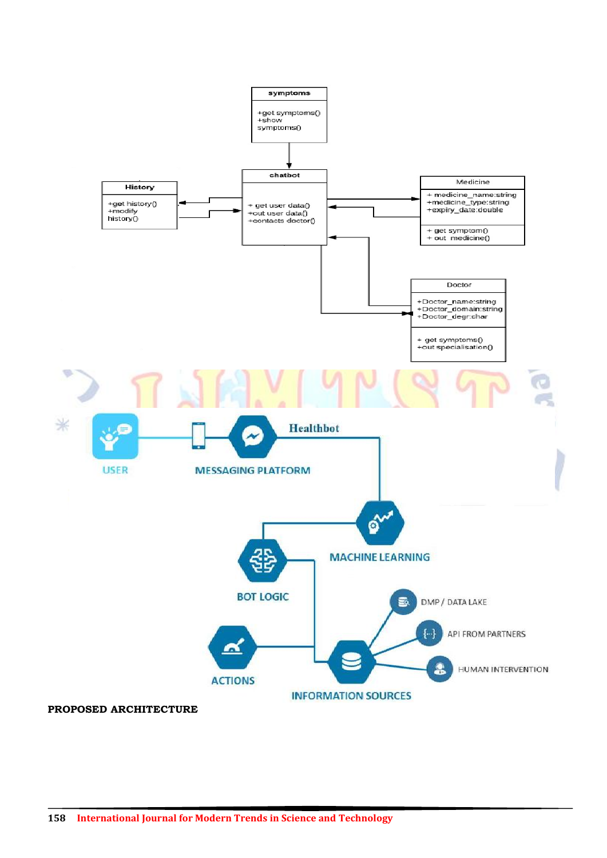

**PROPOSED ARCHITECTURE**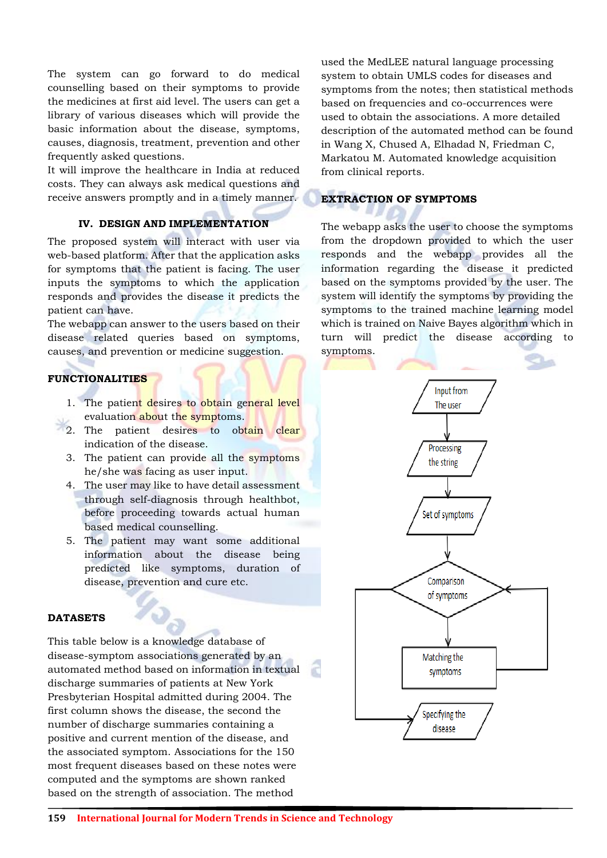The system can go forward to do medical counselling based on their symptoms to provide the medicines at first aid level. The users can get a library of various diseases which will provide the basic information about the disease, symptoms, causes, diagnosis, treatment, prevention and other frequently asked questions.

It will improve the healthcare in India at reduced costs. They can always ask medical questions and receive answers promptly and in a timely manner.

## **IV. DESIGN AND IMPLEMENTATION**

The proposed system will interact with user via web-based platform. After that the application asks for symptoms that the patient is facing. The user inputs the symptoms to which the application responds and provides the disease it predicts the patient can have.

The webapp can answer to the users based on their disease related queries based on symptoms, causes, and prevention or medicine suggestion.

# **FUNCTIONALITIES**

- 1. The patient desires to obtain general level evaluation about the symptoms.
- 2. The patient desires to obtain clear indication of the disease.
- 3. The patient can provide all the symptoms he/she was facing as user input.
- 4. The user may like to have detail assessment through self-diagnosis through healthbot, before proceeding towards actual human based medical counselling.
- 5. The patient may want some additional information about the disease being predicted like symptoms, duration of disease, prevention and cure etc.

## **DATASETS**

This table below is a knowledge database of disease-symptom associations generated by an automated method based on information in textual discharge summaries of patients at New York Presbyterian Hospital admitted during 2004. The first column shows the disease, the second the number of discharge summaries containing a positive and current mention of the disease, and the associated symptom. Associations for the 150 most frequent diseases based on these notes were computed and the symptoms are shown ranked based on the strength of association. The method

used the MedLEE natural language processing system to obtain UMLS codes for diseases and symptoms from the notes; then statistical methods based on frequencies and co-occurrences were used to obtain the associations. A more detailed description of the automated method can be found in Wang X, Chused A, Elhadad N, Friedman C, Markatou M. Automated knowledge acquisition from clinical reports.

# **EXTRACTION OF SYMPTOMS**

The webapp asks the user to choose the symptoms from the dropdown provided to which the user responds and the webapp provides all the information regarding the disease it predicted based on the symptoms provided by the user. The system will identify the symptoms by providing the symptoms to the trained machine learning model which is trained on Naive Bayes algorithm which in turn will predict the disease according to symptoms.